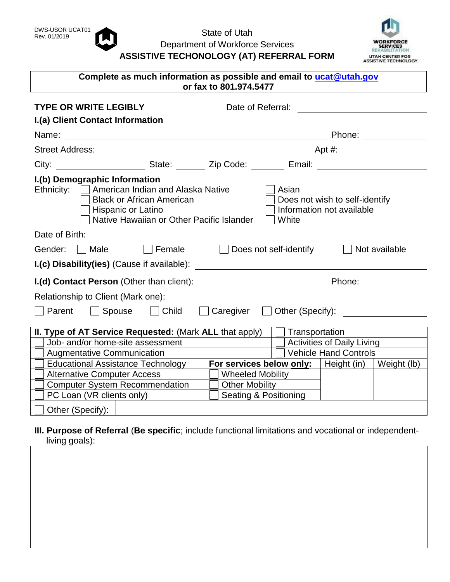

## DWS-USOR UCAT01<br>Rev. 01/2019 **CONTRACTER** State of Utah Department of Workforce Services **ASSISTIVE TECHONOLOGY (AT) REFERRAL FORM**



| Complete as much information as possible and email to ucat@utah.gov<br>or fax to 801.974.5477                                                                                                 |                                    |                                          |                                                             |                                                                                                      |                         |                                                             |                              |               |  |
|-----------------------------------------------------------------------------------------------------------------------------------------------------------------------------------------------|------------------------------------|------------------------------------------|-------------------------------------------------------------|------------------------------------------------------------------------------------------------------|-------------------------|-------------------------------------------------------------|------------------------------|---------------|--|
| <b>TYPE OR WRITE LEGIBLY</b>                                                                                                                                                                  |                                    |                                          |                                                             | Date of Referral: <u>_________________</u>                                                           |                         |                                                             |                              |               |  |
|                                                                                                                                                                                               | I.(a) Client Contact Information   |                                          |                                                             |                                                                                                      |                         |                                                             |                              |               |  |
|                                                                                                                                                                                               |                                    |                                          |                                                             |                                                                                                      |                         |                                                             |                              |               |  |
| <b>Street Address:</b>                                                                                                                                                                        |                                    |                                          |                                                             |                                                                                                      |                         |                                                             |                              |               |  |
|                                                                                                                                                                                               |                                    |                                          |                                                             | City: _______________________State: ________ Zip Code: ________ Email: _____________________________ |                         |                                                             |                              |               |  |
| I.(b) Demographic Information<br>Ethnicity:   American Indian and Alaska Native<br><b>Black or African American</b><br><b>Hispanic or Latino</b><br>Native Hawaiian or Other Pacific Islander |                                    |                                          |                                                             | Asian<br>White                                                                                       |                         | Does not wish to self-identify<br>Information not available |                              |               |  |
| Date of Birth:                                                                                                                                                                                |                                    |                                          |                                                             |                                                                                                      |                         |                                                             |                              |               |  |
| Gender:                                                                                                                                                                                       | <b>Male</b>                        | Female $\Box$                            |                                                             |                                                                                                      |                         | Does not self-identify                                      |                              | Not available |  |
|                                                                                                                                                                                               |                                    |                                          |                                                             |                                                                                                      |                         |                                                             |                              |               |  |
| I.(d) Contact Person (Other than client):                                                                                                                                                     |                                    |                                          |                                                             |                                                                                                      |                         |                                                             |                              |               |  |
|                                                                                                                                                                                               | Relationship to Client (Mark one): |                                          |                                                             |                                                                                                      |                         |                                                             |                              |               |  |
| Parent                                                                                                                                                                                        |                                    |                                          |                                                             | Spouse □ Child □ Caregiver □ Other (Specify):                                                        |                         |                                                             |                              |               |  |
| <b>II. Type of AT Service Requested:</b> (Mark ALL that apply) $\Box$ Transportation                                                                                                          |                                    |                                          |                                                             |                                                                                                      |                         |                                                             |                              |               |  |
| Job- and/or home-site assessment                                                                                                                                                              |                                    |                                          |                                                             |                                                                                                      |                         | <b>Activities of Daily Living</b>                           |                              |               |  |
| <b>Augmentative Communication</b>                                                                                                                                                             |                                    |                                          |                                                             |                                                                                                      |                         |                                                             | <b>Vehicle Hand Controls</b> |               |  |
|                                                                                                                                                                                               |                                    | <b>Educational Assistance Technology</b> | <b>For services below only:</b>   Height (in)   Weight (lb) |                                                                                                      |                         |                                                             |                              |               |  |
| <b>Alternative Computer Access</b>                                                                                                                                                            |                                    |                                          |                                                             |                                                                                                      | <b>Wheeled Mobility</b> |                                                             |                              |               |  |
| <b>Computer System Recommendation</b>                                                                                                                                                         |                                    |                                          |                                                             |                                                                                                      | <b>Other Mobility</b>   |                                                             |                              |               |  |
| PC Loan (VR clients only)                                                                                                                                                                     |                                    |                                          |                                                             |                                                                                                      | Seating & Positioning   |                                                             |                              |               |  |
| Other (Specify):                                                                                                                                                                              |                                    |                                          |                                                             |                                                                                                      |                         |                                                             |                              |               |  |

**III. Purpose of Referral** (**Be specific**; include functional limitations and vocational or independentliving goals):